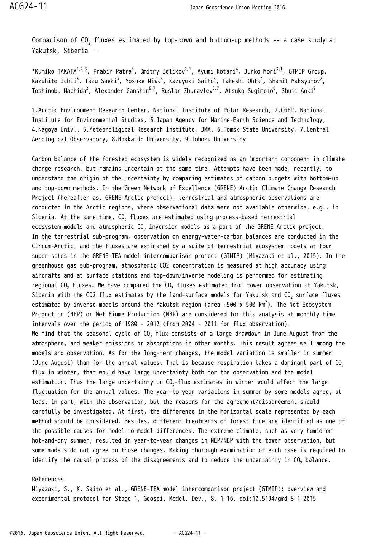Comparison of CO $_{\rm 2}$  fluxes estimated by top-down and bottom-up methods -- a case study at Yakutsk, Siberia --

\*Kumiko TAKATA $^{1,2,3}$ , Prabir Patra $^3$ , Dmitry Belikov $^{2,1}$ , Ayumi Kotani $^4$ , Junko Mori $^{3,1}$ , GTMIP Group, Kazuhito Ichii $^3$ , Tazu Saeki $^3$ , Yosuke Niwa $^5$ , Kazuyuki Saito $^3$ , Takeshi Ohta $^4$ , Shamil Maksyutov $^2$ , Toshinobu Machida $^2$ , Alexander Ganshin $^{6,7}$ , Ruslan Zhuravlev $^{6,7}$ , Atsuko Suqimoto $^8$ , Shuji Aoki $^9$ 

1.Arctic Environment Research Center, National Institute of Polar Research, 2.CGER, National Institute for Environmental Studies, 3.Japan Agency for Marine-Earth Science and Technology, 4.Nagoya Univ., 5.Meteoroligical Research Institute, JMA, 6.Tomsk State University, 7.Central Aerological Observatory, 8.Hokkaido University, 9.Tohoku University

Carbon balance of the forested ecosystem is widely recognized as an important component in climate change research, but remains uncertain at the same time. Attempts have been made, recently, to understand the origin of the uncertainty by comparing estimates of carbon budgets with bottom-up and top-down methods. In the Green Network of Excellence (GRENE) Arctic Climate Change Research Project (hereafter as, GRENE Arctic project), terrestrial and atmospheric observations are conducted in the Arctic regions, where observational data were not available otherwise, e.g., in Siberia. At the same time, CO $_{\rm 2}$  fluxes are estimated using process-based terrestrial ecosystem,models and atmospheric CO $_2$  inversion models as a part of the GRENE Arctic project. In the terrestrial sub-program, observation on energy-water-carbon balances are conducted in the Circum-Arctic, and the fluxes are estimated by a suite of terrestrial ecosystem models at four super-sites in the GRENE-TEA model intercomparison project (GTMIP) (Miyazaki et al., 2015). In the greenhouse gas sub-program, atmospheric CO2 concentration is measured at high accuracy using aircrafts and at surface stations and top-down/inverse modeling is performed for estimating regional CO $_{\rm 2}$  fluxes. We have compared the CO $_{\rm 2}$  fluxes estimated from tower observation at Yakutsk, Siberia with the CO2 flux estimates by the land-surface models for Yakutsk and CO $_{\rm 2}$  surface fluxes estimated by inverse models around the Yakutsk region (area ~500 x 500 km $^2$ ). The Net Ecosystem Production (NEP) or Net Biome Production (NBP) are considered for this analysis at monthly time intervals over the period of 1980 - 2012 (from 2004 - 2011 for flux observation). We find that the seasonal cycle of CO $_2$  flux consists of a large drawdown in June-August from the atmosphere, and weaker emissions or absorptions in other months. This result agrees well among the models and observation. As for the long-term changes, the model variation is smaller in summer (June-August) than for the annual values. That is because respiration takes a dominant part of  $CO<sub>2</sub>$ flux in winter, that would have large uncertainty both for the observation and the model estimation. Thus the large uncertainty in CO $_2$ -flux estimates in winter would affect the large fluctuation for the annual values. The year-to-year variations in summer by some models agree, at least in part, with the observation, but the reasons for the agreement/disagreement should carefully be investigated. At first, the difference in the horizontal scale represented by each method should be considered. Besides, different treatments of forest fire are identified as one of the possible causes for model-to-model differences. The extreme climate, such as very humid or hot-and-dry summer, resulted in year-to-year changes in NEP/NBP with the tower observation, but some models do not agree to those changes. Making thorough examination of each case is required to identify the causal process of the disagreements and to reduce the uncertainty in CO $_2$  balance.

## References

Miyazaki, S., K. Saito et al., GRENE-TEA model intercomparison project (GTMIP): overview and experimental protocol for Stage 1, Geosci. Model. Dev., 8, 1-16, doi:10.5194/gmd-8-1-2015